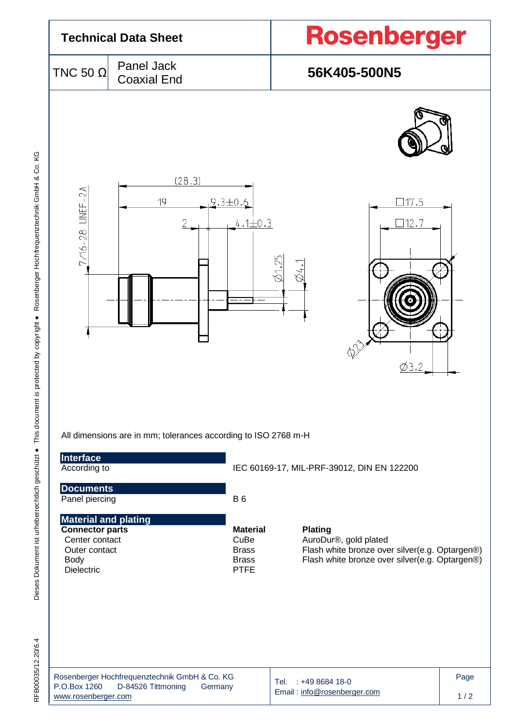